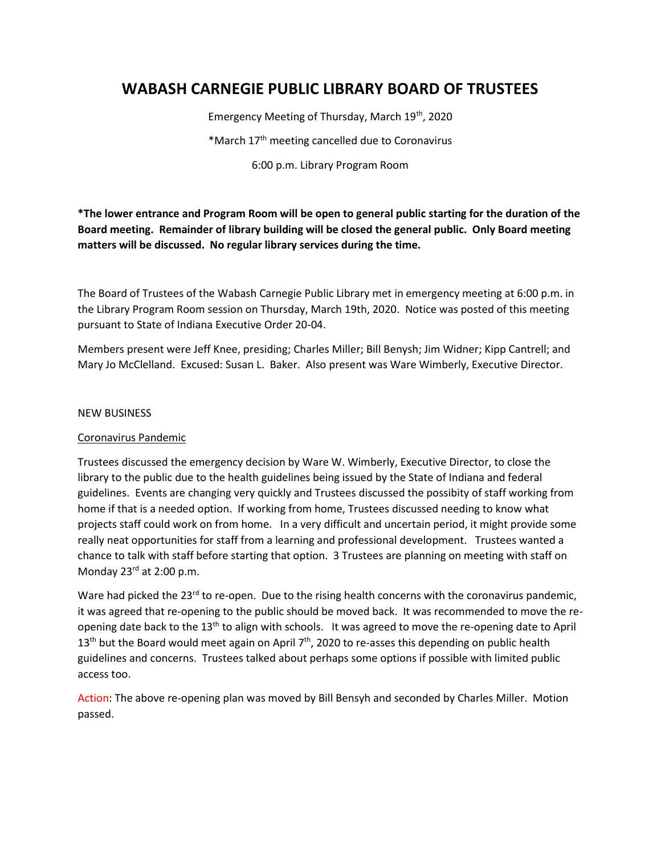# **WABASH CARNEGIE PUBLIC LIBRARY BOARD OF TRUSTEES**

Emergency Meeting of Thursday, March 19th, 2020

\*March 17th meeting cancelled due to Coronavirus

6:00 p.m. Library Program Room

**\*The lower entrance and Program Room will be open to general public starting for the duration of the Board meeting. Remainder of library building will be closed the general public. Only Board meeting matters will be discussed. No regular library services during the time.**

The Board of Trustees of the Wabash Carnegie Public Library met in emergency meeting at 6:00 p.m. in the Library Program Room session on Thursday, March 19th, 2020. Notice was posted of this meeting pursuant to State of Indiana Executive Order 20-04.

Members present were Jeff Knee, presiding; Charles Miller; Bill Benysh; Jim Widner; Kipp Cantrell; and Mary Jo McClelland. Excused: Susan L. Baker. Also present was Ware Wimberly, Executive Director.

## NEW BUSINESS

## Coronavirus Pandemic

Trustees discussed the emergency decision by Ware W. Wimberly, Executive Director, to close the library to the public due to the health guidelines being issued by the State of Indiana and federal guidelines. Events are changing very quickly and Trustees discussed the possibity of staff working from home if that is a needed option. If working from home, Trustees discussed needing to know what projects staff could work on from home. In a very difficult and uncertain period, it might provide some really neat opportunities for staff from a learning and professional development. Trustees wanted a chance to talk with staff before starting that option. 3 Trustees are planning on meeting with staff on Monday 23<sup>rd</sup> at 2:00 p.m.

Ware had picked the  $23^{rd}$  to re-open. Due to the rising health concerns with the coronavirus pandemic, it was agreed that re-opening to the public should be moved back. It was recommended to move the reopening date back to the 13<sup>th</sup> to align with schools. It was agreed to move the re-opening date to April  $13<sup>th</sup>$  but the Board would meet again on April 7<sup>th</sup>, 2020 to re-asses this depending on public health guidelines and concerns. Trustees talked about perhaps some options if possible with limited public access too.

Action: The above re-opening plan was moved by Bill Bensyh and seconded by Charles Miller. Motion passed.